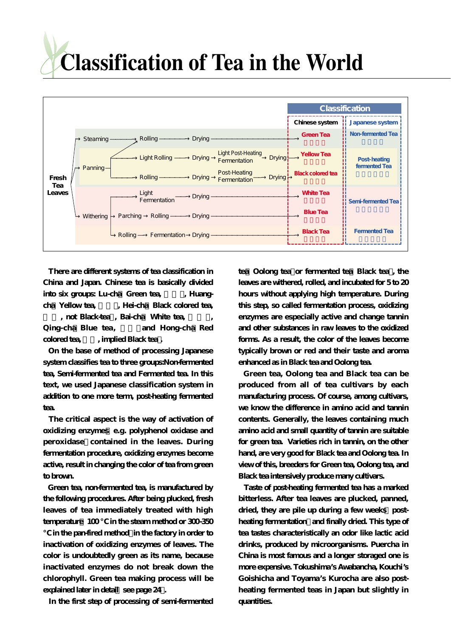

**There are different systems of tea classification in China and Japan. Chinese tea is basically divided** into six groups: Lu-cha Green tea, Huangcha Yellow tea, Flei-cha Black colored tea,

, not Black-tea, Bai-cha White tea, Qing-cha Blue tea, and Hong-cha Red colored tea,  $\qquad$ , implied Black tea.

**On the base of method of processing Japanese system classifies tea to three groups:Non-fermented tea, Semi-fermented tea and Fermented tea. In this text, we used Japanese classification system in addition to one more term, post-heating fermented tea.**

**The critical aspect is the way of activation of oxidizing enzymes(e.g. polyphenol oxidase and** peroxidase contained in the leaves. During **fermentation procedure, oxidizing enzymes become active, result in changing the color of tea from green to brown.**

**Green tea, non-fermented tea, is manufactured by the following procedures. After being plucked, fresh leaves of tea immediately treated with high** temperature  $100$  in the steam method or 300-350

**℃ in the pan-fired method)in the factory in order to inactivation of oxidizing enzymes of leaves. The color is undoubtedly green as its name, because inactivated enzymes do not break down the chlorophyll. Green tea making process will be explained later in detail see page 24.** 

**In the first step of processing of semi-fermented**

tea Oolong tea or fermented tea Black tea, the **leaves are withered, rolled, and incubated for 5 to 20 hours without applying high temperature. During this step, so called fermentation process, oxidizing enzymes are especially active and change tannin and other substances in raw leaves to the oxidized forms. As a result, the color of the leaves become typically brown or red and their taste and aroma enhanced as in Black tea and Oolong tea.**

**Green tea, Oolong tea and Black tea can be produced from all of tea cultivars by each manufacturing process. Of course, among cultivars, we know the difference in amino acid and tannin contents. Generally, the leaves containing much amino acid and small quantity of tannin are suitable for green tea. Varieties rich in tannin, on the other hand, are very good for Black tea and Oolong tea. In view of this, breeders for Green tea, Oolong tea, and Black tea intensively produce many cultivars.** 

**Taste of post-heating fermented tea has a marked bitterless. After tea leaves are plucked, panned,** dried, they are pile up during a few weeks postheating fermentation and finally dried. This type of **tea tastes characteristically an odor like lactic acid drinks, produced by microorganisms. Puercha in China is most famous and a longer storaged one is more expensive. Tokushima's Awabancha, Kouchi's Goishicha and Toyama's Kurocha are also postheating fermented teas in Japan but slightly in quantities.**